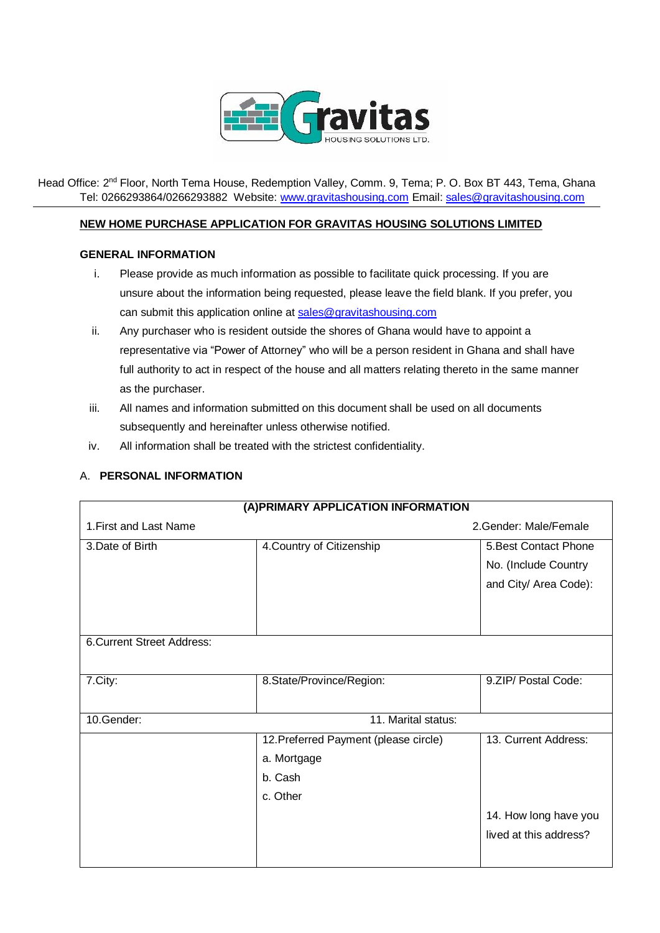

Head Office: 2<sup>nd</sup> Floor, North Tema House, Redemption Valley, Comm. 9, Tema; P. O. Box BT 443, Tema, Ghana Tel: 0266293864/0266293882 Website[: www.gravitashousing.com](http://www.gravitashousing.com/) Email: [sales@gravitashousing.com](mailto:sales@gravitashousing.com)

## **NEW HOME PURCHASE APPLICATION FOR GRAVITAS HOUSING SOLUTIONS LIMITED**

## **GENERAL INFORMATION**

- i. Please provide as much information as possible to facilitate quick processing. If you are unsure about the information being requested, please leave the field blank. If you prefer, you can submit this application online a[t sales@gravitashousing.com](mailto:sales@gravitashousing.com)
- ii. Any purchaser who is resident outside the shores of Ghana would have to appoint a representative via "Power of Attorney" who will be a person resident in Ghana and shall have full authority to act in respect of the house and all matters relating thereto in the same manner as the purchaser.
- iii. All names and information submitted on this document shall be used on all documents subsequently and hereinafter unless otherwise notified.
- iv. All information shall be treated with the strictest confidentiality.

## A. **PERSONAL INFORMATION**

| (A) PRIMARY APPLICATION INFORMATION |                                       |                        |  |  |
|-------------------------------------|---------------------------------------|------------------------|--|--|
| 1. First and Last Name              |                                       | 2. Gender: Male/Female |  |  |
| 3.Date of Birth                     | 4. Country of Citizenship             | 5. Best Contact Phone  |  |  |
|                                     |                                       | No. (Include Country   |  |  |
|                                     |                                       | and City/ Area Code):  |  |  |
|                                     |                                       |                        |  |  |
|                                     |                                       |                        |  |  |
| <b>6. Current Street Address:</b>   |                                       |                        |  |  |
|                                     |                                       |                        |  |  |
| 7.City:                             | 8.State/Province/Region:              | 9.ZIP/ Postal Code:    |  |  |
|                                     |                                       |                        |  |  |
| 10.Gender:                          | 11. Marital status:                   |                        |  |  |
|                                     | 12. Preferred Payment (please circle) | 13. Current Address:   |  |  |
|                                     | a. Mortgage                           |                        |  |  |
|                                     | b. Cash                               |                        |  |  |
|                                     | c. Other                              |                        |  |  |
|                                     |                                       | 14. How long have you  |  |  |
|                                     |                                       | lived at this address? |  |  |
|                                     |                                       |                        |  |  |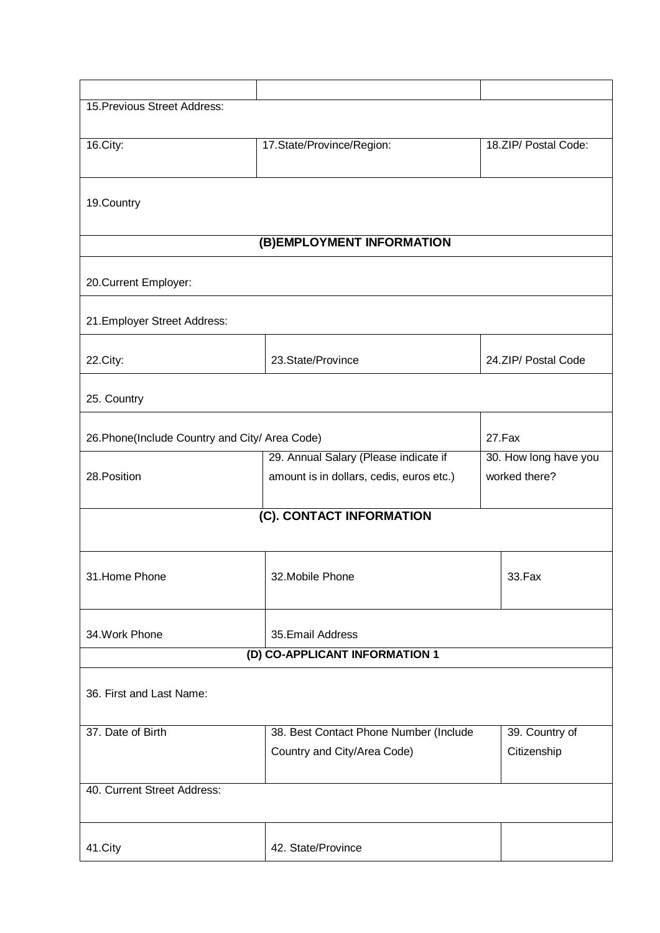| 15. Previous Street Address:                   |                                          |                       |  |  |
|------------------------------------------------|------------------------------------------|-----------------------|--|--|
|                                                |                                          |                       |  |  |
| 16.City:                                       | 17.State/Province/Region:                | 18.ZIP/ Postal Code:  |  |  |
| 19.Country                                     |                                          |                       |  |  |
| (B) EMPLOYMENT INFORMATION                     |                                          |                       |  |  |
|                                                |                                          |                       |  |  |
| 20. Current Employer:                          |                                          |                       |  |  |
| 21. Employer Street Address:                   |                                          |                       |  |  |
| 22.City:                                       | 23.State/Province                        | 24.ZIP/ Postal Code   |  |  |
| 25. Country                                    |                                          |                       |  |  |
| 26. Phone(Include Country and City/ Area Code) |                                          | 27.Fax                |  |  |
|                                                | 29. Annual Salary (Please indicate if    | 30. How long have you |  |  |
| 28. Position                                   | amount is in dollars, cedis, euros etc.) | worked there?         |  |  |
| (C). CONTACT INFORMATION                       |                                          |                       |  |  |
| 31. Home Phone<br>32. Mobile Phone             |                                          | 33.Fax                |  |  |
| 35. Email Address<br>34. Work Phone            |                                          |                       |  |  |
| (D) CO-APPLICANT INFORMATION 1                 |                                          |                       |  |  |
| 36. First and Last Name:                       |                                          |                       |  |  |
| 37. Date of Birth                              | 38. Best Contact Phone Number (Include   | 39. Country of        |  |  |
|                                                | Country and City/Area Code)              | Citizenship           |  |  |
| 40. Current Street Address:                    |                                          |                       |  |  |
| 41.City                                        | 42. State/Province                       |                       |  |  |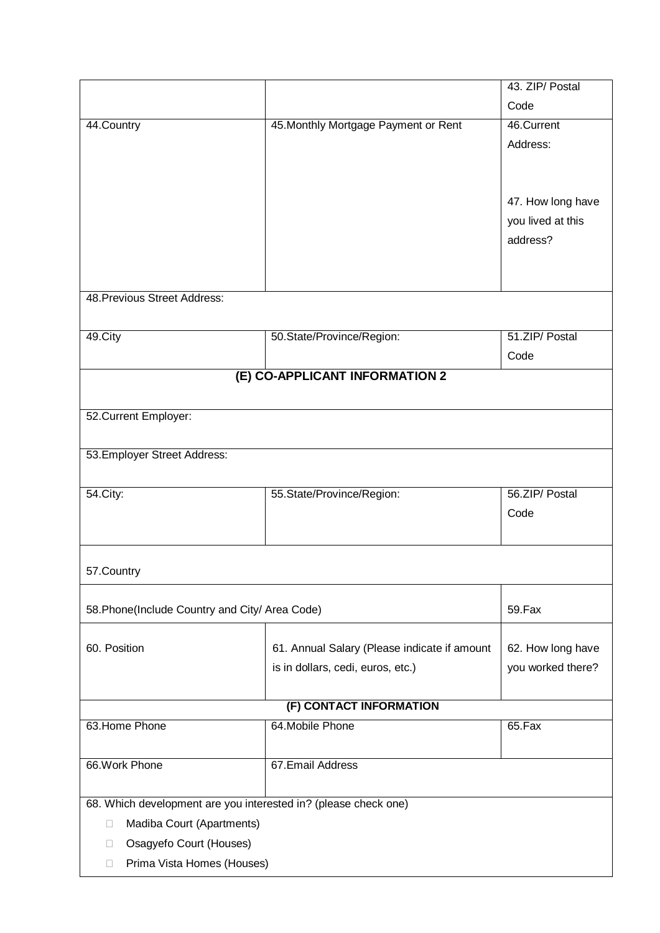|                                                                 |                                              | 43. ZIP/ Postal   |  |
|-----------------------------------------------------------------|----------------------------------------------|-------------------|--|
|                                                                 |                                              | Code              |  |
| 44.Country                                                      | 45. Monthly Mortgage Payment or Rent         | 46.Current        |  |
|                                                                 |                                              | Address:          |  |
|                                                                 |                                              |                   |  |
|                                                                 |                                              |                   |  |
|                                                                 |                                              | 47. How long have |  |
|                                                                 |                                              | you lived at this |  |
|                                                                 |                                              | address?          |  |
|                                                                 |                                              |                   |  |
|                                                                 |                                              |                   |  |
| 48. Previous Street Address:                                    |                                              |                   |  |
|                                                                 |                                              |                   |  |
| 49.City                                                         | 50.State/Province/Region:                    | 51.ZIP/ Postal    |  |
|                                                                 |                                              | Code              |  |
|                                                                 | (E) CO-APPLICANT INFORMATION 2               |                   |  |
|                                                                 |                                              |                   |  |
| 52. Current Employer:                                           |                                              |                   |  |
|                                                                 |                                              |                   |  |
| 53. Employer Street Address:                                    |                                              |                   |  |
|                                                                 |                                              |                   |  |
| 54. City:                                                       | 55.State/Province/Region:                    | 56.ZIP/ Postal    |  |
|                                                                 |                                              | Code              |  |
|                                                                 |                                              |                   |  |
|                                                                 |                                              |                   |  |
| 57. Country                                                     |                                              |                   |  |
|                                                                 |                                              |                   |  |
| 58. Phone(Include Country and City/ Area Code)                  |                                              | 59.Fax            |  |
|                                                                 |                                              |                   |  |
| 60. Position                                                    | 61. Annual Salary (Please indicate if amount | 62. How long have |  |
|                                                                 | is in dollars, cedi, euros, etc.)            | you worked there? |  |
|                                                                 |                                              |                   |  |
| (F) CONTACT INFORMATION                                         |                                              |                   |  |
| 63. Home Phone                                                  | 64. Mobile Phone                             | 65.Fax            |  |
|                                                                 |                                              |                   |  |
| 66. Work Phone                                                  | 67. Email Address                            |                   |  |
|                                                                 |                                              |                   |  |
| 68. Which development are you interested in? (please check one) |                                              |                   |  |
| Madiba Court (Apartments)<br>0                                  |                                              |                   |  |
| Osagyefo Court (Houses)<br>П                                    |                                              |                   |  |
| Prima Vista Homes (Houses)<br>$\Box$                            |                                              |                   |  |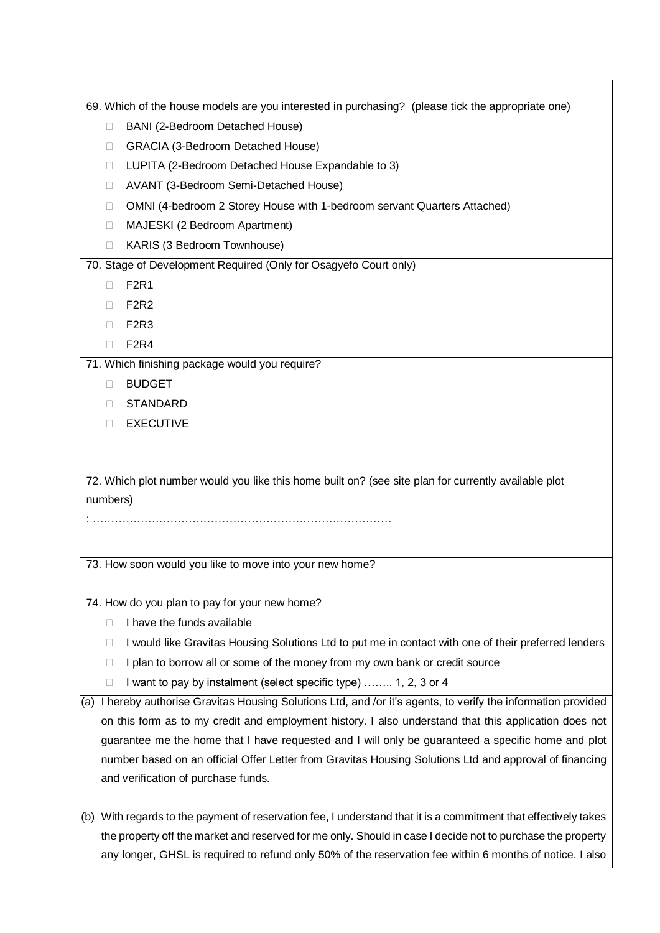|                                                                                                            | 69. Which of the house models are you interested in purchasing? (please tick the appropriate one)                 |  |  |
|------------------------------------------------------------------------------------------------------------|-------------------------------------------------------------------------------------------------------------------|--|--|
| $\Box$                                                                                                     | BANI (2-Bedroom Detached House)                                                                                   |  |  |
| GRACIA (3-Bedroom Detached House)<br>□                                                                     |                                                                                                                   |  |  |
| □                                                                                                          | LUPITA (2-Bedroom Detached House Expandable to 3)                                                                 |  |  |
| □                                                                                                          | AVANT (3-Bedroom Semi-Detached House)                                                                             |  |  |
| □                                                                                                          | OMNI (4-bedroom 2 Storey House with 1-bedroom servant Quarters Attached)                                          |  |  |
| $\Box$                                                                                                     | MAJESKI (2 Bedroom Apartment)                                                                                     |  |  |
| □                                                                                                          | KARIS (3 Bedroom Townhouse)                                                                                       |  |  |
|                                                                                                            | 70. Stage of Development Required (Only for Osagyefo Court only)                                                  |  |  |
| П                                                                                                          | <b>F2R1</b>                                                                                                       |  |  |
| П                                                                                                          | <b>F2R2</b>                                                                                                       |  |  |
| П                                                                                                          | F <sub>2R3</sub>                                                                                                  |  |  |
| □                                                                                                          | <b>F2R4</b>                                                                                                       |  |  |
|                                                                                                            | 71. Which finishing package would you require?                                                                    |  |  |
| П                                                                                                          | <b>BUDGET</b>                                                                                                     |  |  |
| П                                                                                                          | <b>STANDARD</b>                                                                                                   |  |  |
| П                                                                                                          | <b>EXECUTIVE</b>                                                                                                  |  |  |
|                                                                                                            |                                                                                                                   |  |  |
| numbers)                                                                                                   | 72. Which plot number would you like this home built on? (see site plan for currently available plot              |  |  |
|                                                                                                            | 73. How soon would you like to move into your new home?                                                           |  |  |
|                                                                                                            |                                                                                                                   |  |  |
|                                                                                                            | 74. How do you plan to pay for your new home?                                                                     |  |  |
| □                                                                                                          | I have the funds available                                                                                        |  |  |
| u                                                                                                          | I would like Gravitas Housing Solutions Ltd to put me in contact with one of their preferred lenders              |  |  |
| u                                                                                                          | I plan to borrow all or some of the money from my own bank or credit source                                       |  |  |
| u                                                                                                          | I want to pay by instalment (select specific type)  1, 2, 3 or 4                                                  |  |  |
|                                                                                                            | (a) I hereby authorise Gravitas Housing Solutions Ltd, and /or it's agents, to verify the information provided    |  |  |
|                                                                                                            | on this form as to my credit and employment history. I also understand that this application does not             |  |  |
| guarantee me the home that I have requested and I will only be guaranteed a specific home and plot         |                                                                                                                   |  |  |
|                                                                                                            | number based on an official Offer Letter from Gravitas Housing Solutions Ltd and approval of financing            |  |  |
|                                                                                                            | and verification of purchase funds.                                                                               |  |  |
|                                                                                                            |                                                                                                                   |  |  |
|                                                                                                            | $(6)$ With regards to the payment of reservation fee, I understand that it is a commitment that effectively takes |  |  |
| the property off the market and reserved for me only. Should in case I decide not to purchase the property |                                                                                                                   |  |  |
|                                                                                                            | any longer, GHSL is required to refund only 50% of the reservation fee within 6 months of notice. I also          |  |  |